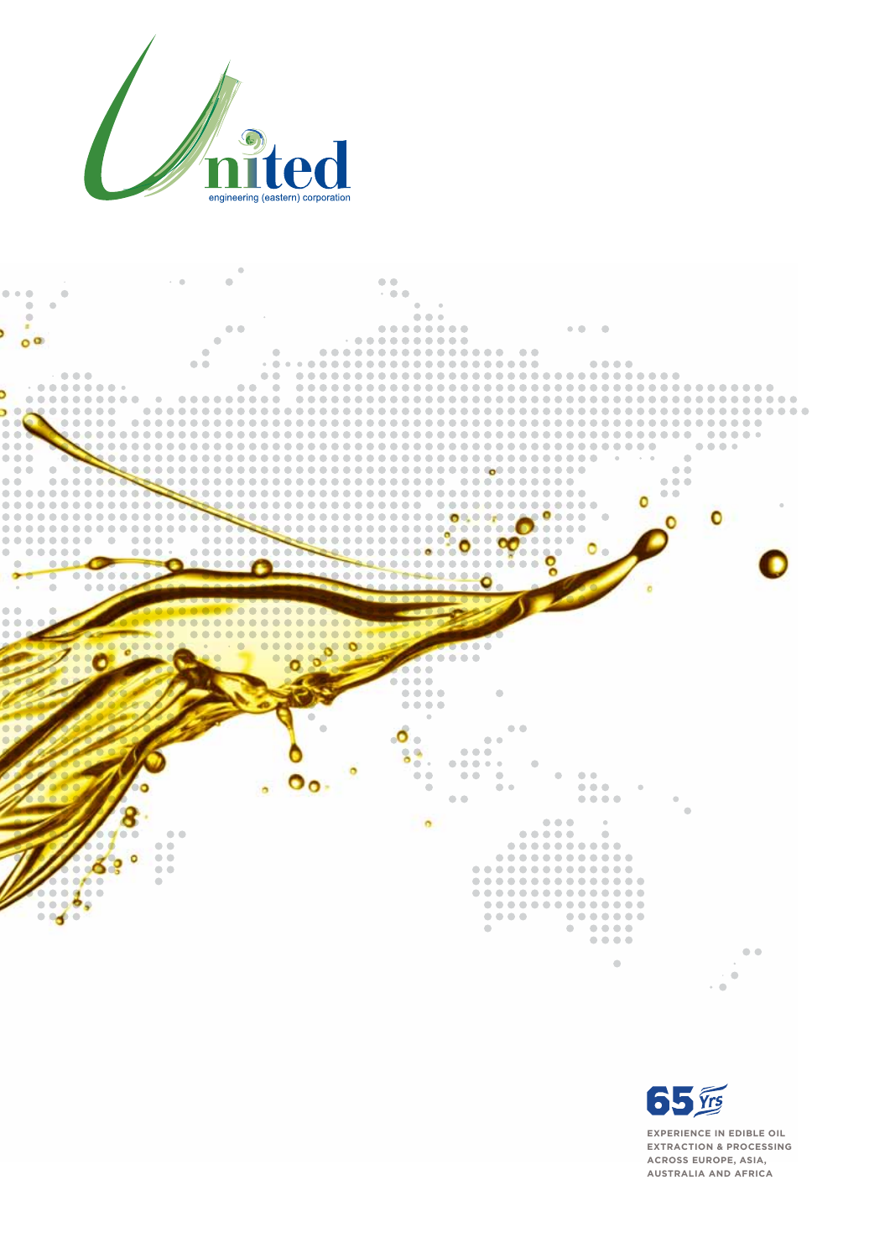





**experience in Edible Oil Extraction & Processing Across Europe, asia, australia and africa**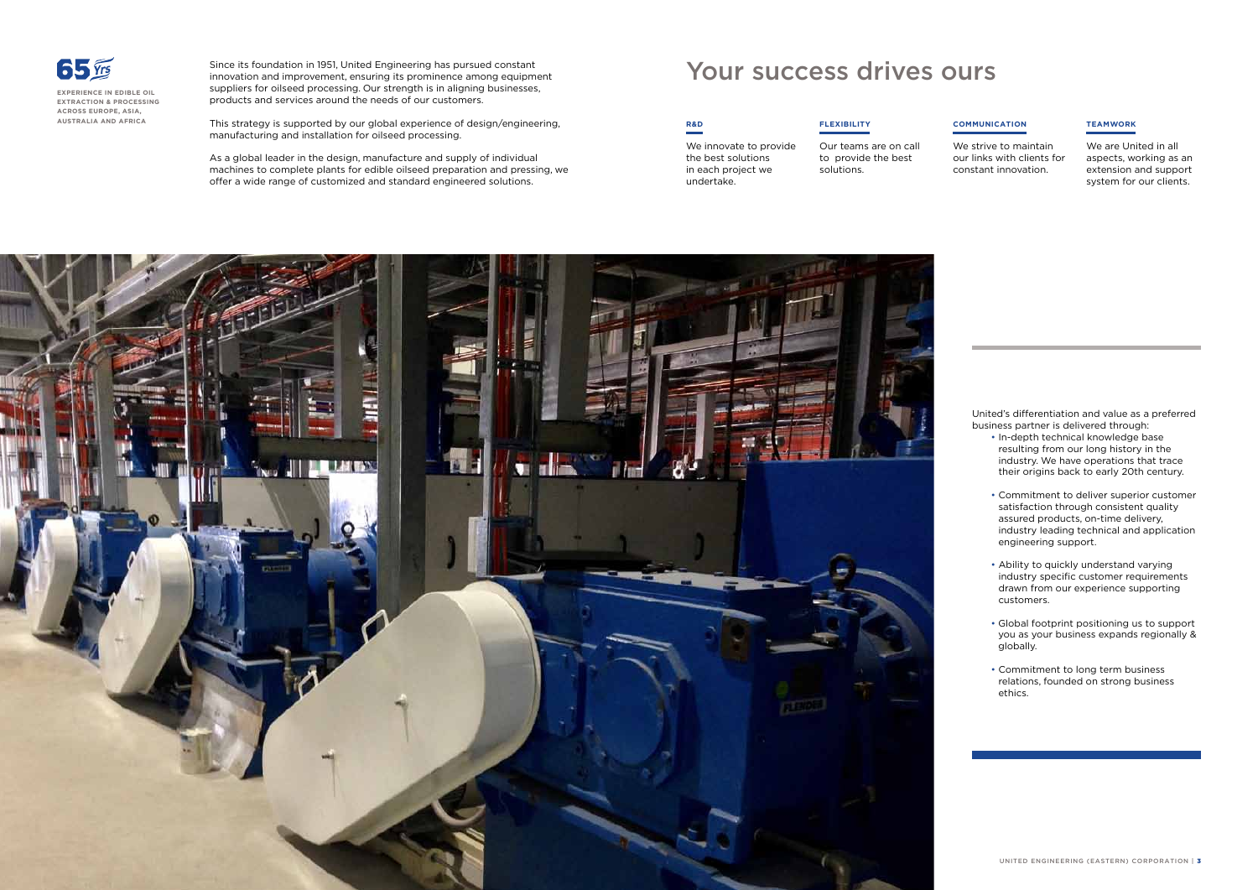Since its foundation in 1951, United Engineering has pursued constant innovation and improvement, ensuring its prominence among equipment suppliers for oilseed processing. Our strength is in aligning businesses, products and services around the needs of our customers.

This strategy is supported by our global experience of design/engineering, manufacturing and installation for oilseed processing.

As a global leader in the design, manufacture and supply of individual machines to complete plants for edible oilseed preparation and pressing, we offer a wide range of customized and standard engineered solutions.

## **R&D**

We innovate to provide the best solutions in each project we undertake.

**Flexibility**

Our teams are on call

to provide the best solutions.



#### **Communication**

We strive to maintain our links with clients for constant innovation.

### **Teamwork**

We are United in all aspects, working as an extension and support system for our clients.

## Your success drives ours

United's differentiation and value as a preferred business partner is delivered through:

- In-depth technical knowledge base resulting from our long history in the industry. We have operations that trace their origins back to early 20th century.
- Commitment to deliver superior customer satisfaction through consistent quality assured products, on-time delivery, industry leading technical and application engineering support.
- Ability to quickly understand varying industry specific customer requirements drawn from our experience supporting customers.
- Global footprint positioning us to support you as your business expands regionally & globally.
- Commitment to long term business relations, founded on strong business ethics.



**experience in Edible Oil Extraction & Processing Across Europe, asia, australia and africa**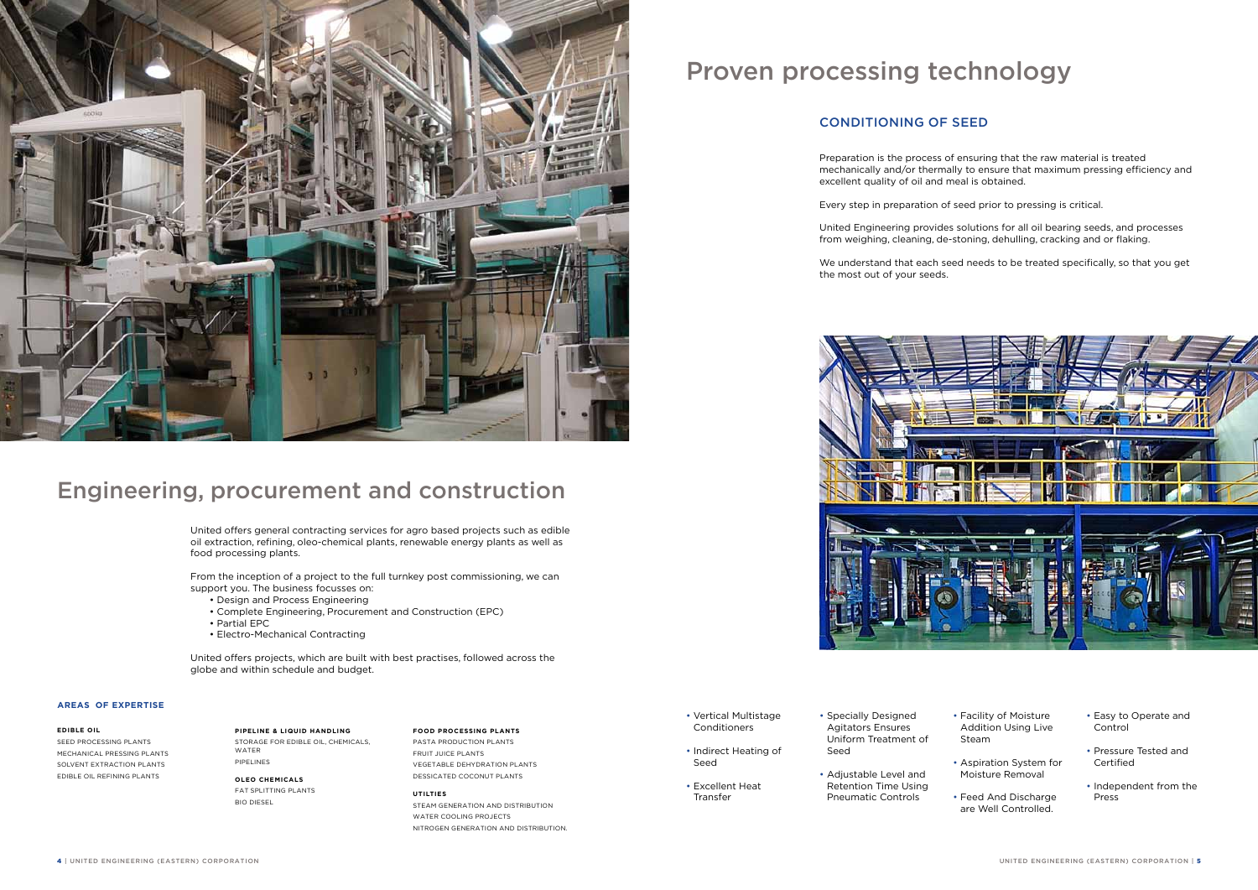# Proven processing technology



## Engineering, procurement and construction

Preparation is the process of ensuring that the raw material is treated mechanically and/or thermally to ensure that maximum pressing efficiency and excellent quality of oil and meal is obtained.

Every step in preparation of seed prior to pressing is critical.

United Engineering provides solutions for all oil bearing seeds, and processes from weighing, cleaning, de-stoning, dehulling, cracking and or flaking.

We understand that each seed needs to be treated specifically, so that you get

the most out of your seeds.



- Vertical Multistage Conditioners
- Indirect Heating of Seed
- Excellent Heat Transfer
- Specially Designed Agitators Ensures Uniform Treatment of Seed
- Adjustable Level and Retention Time Using Pneumatic Controls

- Facility of Moisture Addition Using Live Steam
- Aspiration System for Moisture Removal
- Feed And Discharge are Well Controlled.
- Easy to Operate and Control
- Pressure Tested and Certified
- Independent from the Press

## Conditioning of Seed

United offers general contracting services for agro based projects such as edible oil extraction, refining, oleo-chemical plants, renewable energy plants as well as food processing plants.

From the inception of a project to the full turnkey post commissioning, we can support you. The business focusses on:

- Design and Process Engineering
- Complete Engineering, Procurement and Construction (EPC)
- Partial EPC
- Electro-Mechanical Contracting

United offers projects, which are built with best practises, followed across the globe and within schedule and budget.

#### **Edible Oil**

Seed Processing Plants Mechanical Pressing Plants Solvent Extraction Plants Edible Oil Refining Plants

#### **Pipeline & Liquid Handling**

Storage For Edible Oil, Chemicals, WATER Pipelines

#### **Oleo Chemicals**

Fat Splitting Plants Bio Diesel

#### **Food Processing Plants**

Pasta Production Plants Fruit Juice Plants Vegetable Dehydration Plants Dessicated Coconut Plants

**Utilties**

Steam generation and distribution WATER COOLING PROJECTS Nitrogen generation and distribution.

#### **Areas of Expertise**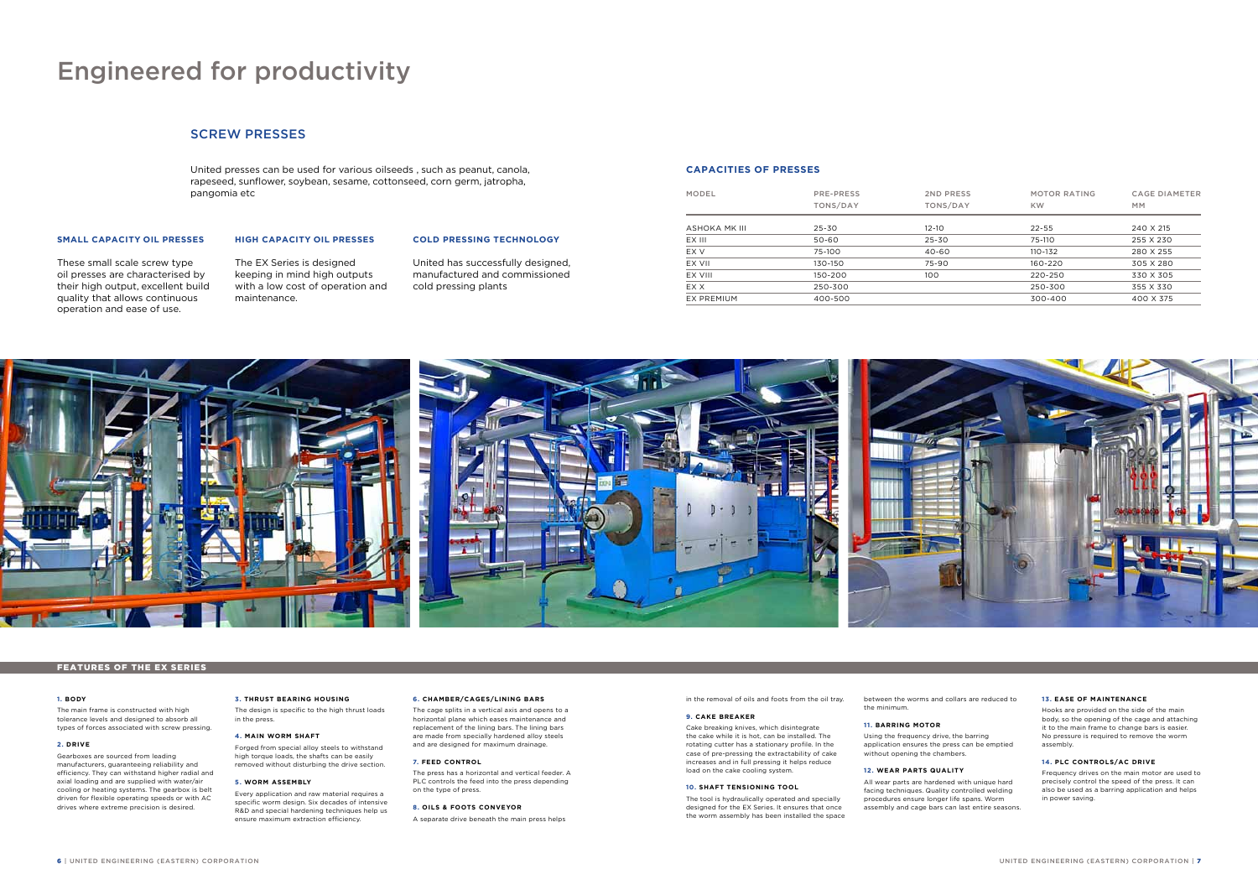United presses can be used for various oilseeds , such as peanut, canola, rapeseed, sunflower, soybean, sesame, cottonseed, corn germ, jatropha, pangomia etc

in the removal of oils and foots from the oil tray.

#### **9. Cake Breaker**

Cake breaking knives, which disintegrate the cake while it is hot, can be installed. The rotating cutter has a stationary profile. In the case of pre-pressing the extractability of cake increases and in full pressing it helps reduce load on the cake cooling system.

#### **10. Shaft Tensioning Tool**

The tool is hydraulically operated and specially designed for the EX Series. It ensures that once the worm assembly has been installed the space between the worms and collars are reduced to the minimum.

#### **11. Barring Motor**

Using the frequency drive, the barring application ensures the press can be emptied

without opening the chambers.

## **12. Wear Parts Quality**

All wear parts are hardened with unique hard facing techniques. Quality controlled welding procedures ensure longer life spans. Worm assembly and cage bars can last entire seasons.

#### **13. Ease of Maintenance**

Hooks are provided on the side of the main body, so the opening of the cage and attaching it to the main frame to change bars is easier. No pressure is required to remove the worm assembly.

#### **14. PLC Controls/AC Drive**

Frequency drives on the main motor are used to precisely control the speed of the press. It can also be used as a barring application and helps in power saving.

#### **1. Body**

The main frame is constructed with high tolerance levels and designed to absorb all types of forces associated with screw pressing.

#### **2. Drive**

Gearboxes are sourced from leading manufacturers, guaranteeing reliability and efficiency. They can withstand higher radial and axial loading and are supplied with water/air cooling or heating systems. The gearbox is belt driven for flexible operating speeds or with AC drives where extreme precision is desired.

#### **3. Thrust bearing housing**

The design is specific to the high thrust loads in the press.

#### **4. Main Worm Shaft**

Forged from special alloy steels to withstand high torque loads, the shafts can be easily removed without disturbing the drive section.

#### **5. Worm Assembly**

Every application and raw material requires a specific worm design. Six decades of intensive R&D and special hardening techniques help us ensure maximum extraction efficiency.

#### **6. Chamber/Cages/Lining Bars**

The cage splits in a vertical axis and opens to a horizontal plane which eases maintenance and replacement of the lining bars. The lining bars are made from specially hardened alloy steels and are designed for maximum drainage.

#### **7. Feed Control**

The press has a horizontal and vertical feeder. A PLC controls the feed into the press depending on the type of press.

#### **8. Oils & Foots Conveyor**

A separate drive beneath the main press helps

## Engineered for productivity

#### Features of the EX Series

### **Capacities of presses**

| MODEL         | PRE-PRESS<br>TONS/DAY | 2ND PRESS<br>TONS/DAY | <b>MOTOR RATING</b><br><b>KW</b> | <b>CAGE DIAMETER</b><br><b>MM</b> |
|---------------|-----------------------|-----------------------|----------------------------------|-----------------------------------|
| ASHOKA MK III | $25 - 30$             | $12 - 10$             | $22 - 55$                        | 240 X 215                         |
| EX III        | 50-60                 | 25-30                 | 75-110                           | 255 X 230                         |
| EX V          | 75-100                | 40-60                 | 110-132                          | 280 X 255                         |
| EX VII        | 130-150               | 75-90                 | 160-220                          | 305 X 280                         |
| EX VIII       | 150-200               | 100                   | 220-250                          | 330 X 305                         |
| EX X          | 250-300               |                       | 250-300                          | 355 X 330                         |
| EX PREMIUM    | 400-500               |                       | 300-400                          | 400 X 375                         |



## Screw Presses

#### **Small Capacity Oil Presses**

These small scale screw type oil presses are characterised by their high output, excellent build quality that allows continuous operation and ease of use.

## **High Capacity Oil Presses**

The EX Series is designed keeping in mind high outputs with a low cost of operation and maintenance.

#### **COLD PRESSING TECHNOLOGY**

United has successfully designed, manufactured and commissioned cold pressing plants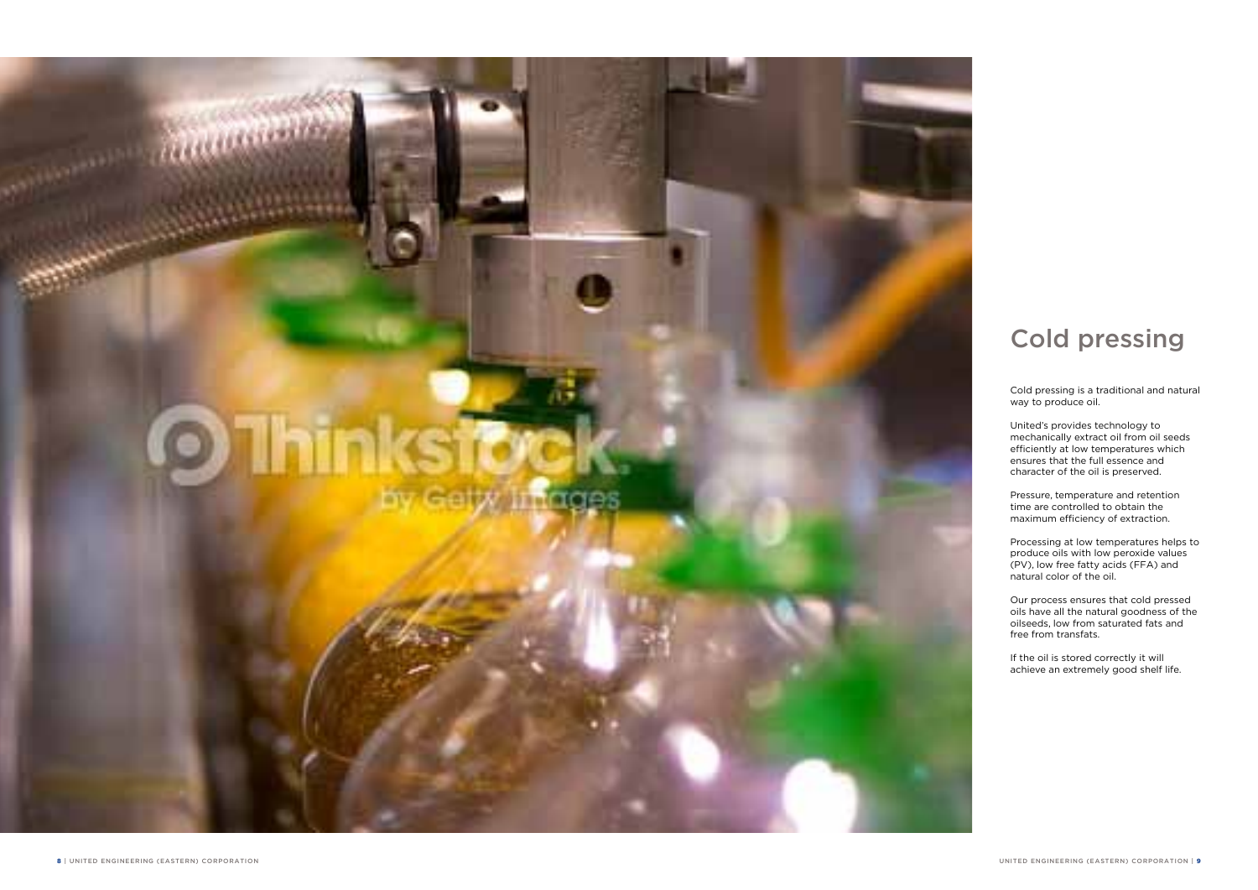# **Q** Thinks?

**STANDARD** 

Cold pressing is a traditional and natural way to produce oil.

United's provides technology to mechanically extract oil from oil seeds efficiently at low temperatures which ensures that the full essence and character of the oil is preserved.

Pressure, temperature and retention time are controlled to obtain the maximum efficiency of extraction.

Processing at low temperatures helps to produce oils with low peroxide values (PV), low free fatty acids (FFA) and natural color of the oil.

Our process ensures that cold pressed oils have all the natural goodness of the oilseeds, low from saturated fats and free from transfats.

If the oil is stored correctly it will achieve an extremely good shelf life.

# Cold pressing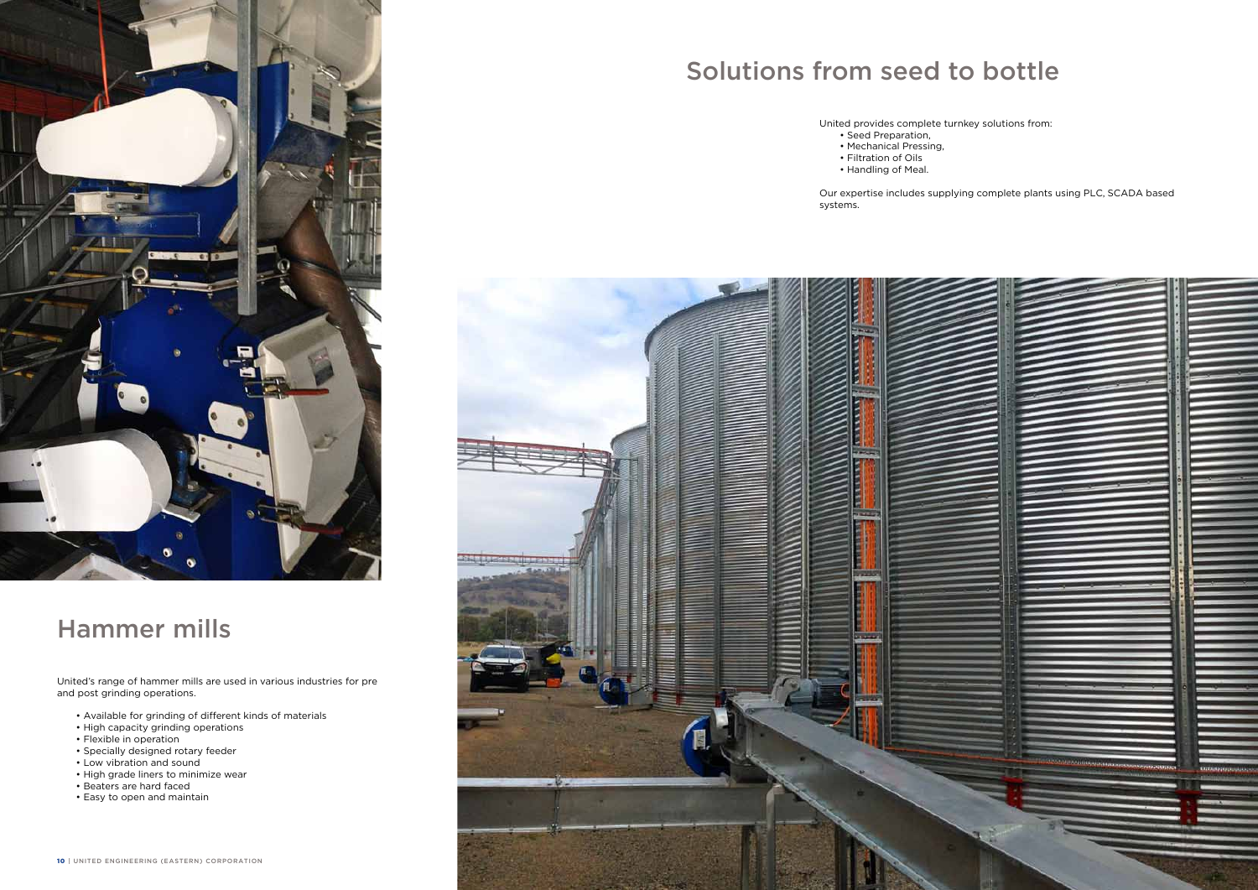United provides complete turnkey solutions from:

- Seed Preparation,
- Mechanical Pressing,
	- Filtration of Oils
	- Handling of Meal.

Our expertise includes supplying complete plants using PLC, SCADA based

systems.



United's range of hammer mills are used in various industries for pre and post grinding operations.

- Available for grinding of different kinds of materials
- High capacity grinding operations
- Flexible in operation
- Specially designed rotary feeder
- Low vibration and sound
- High grade liners to minimize wear
- Beaters are hard faced
- Easy to open and maintain

# Solutions from seed to bottle



# Hammer mills